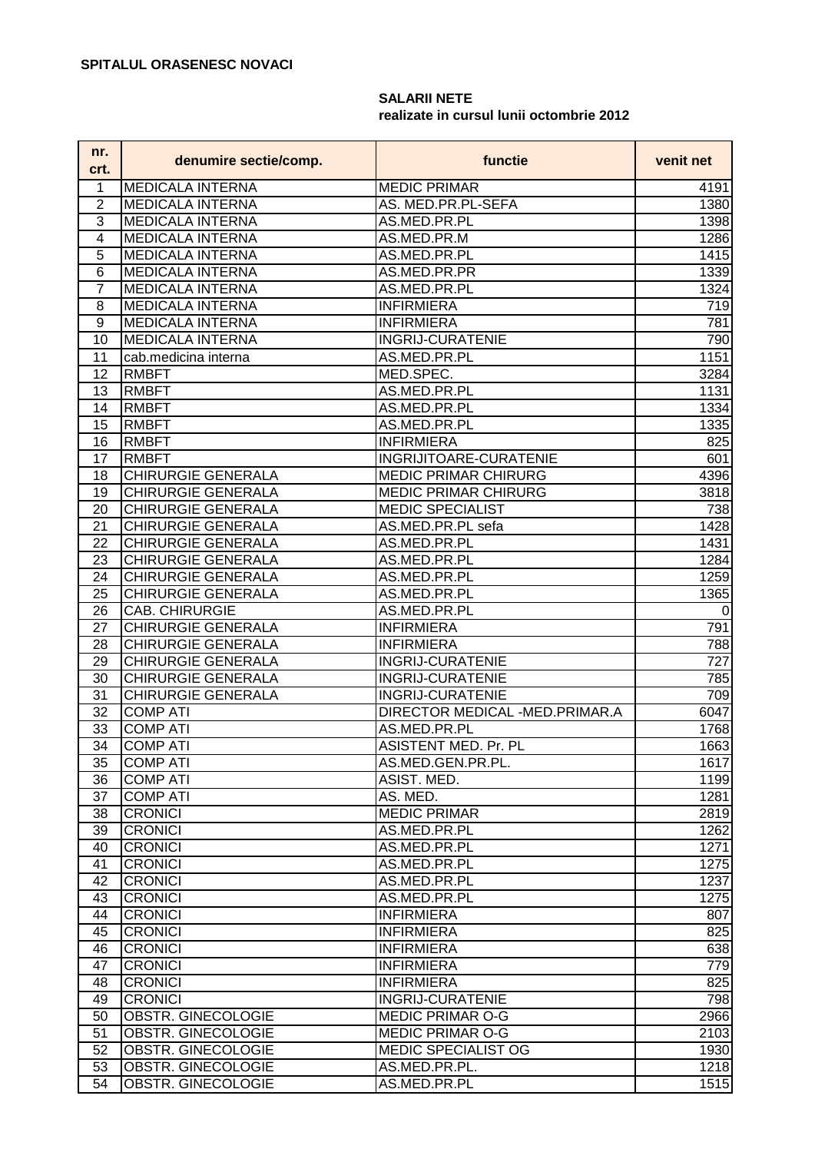## **SALARII NETE realizate in cursul lunii octombrie 2012**

| 1<br><b>MEDICALA INTERNA</b><br><b>MEDIC PRIMAR</b><br>4191<br>2<br><b>MEDICALA INTERNA</b><br>AS. MED.PR.PL-SEFA<br>1380<br>3<br><b>MEDICALA INTERNA</b><br>AS.MED.PR.PL<br>1398<br>4<br><b>MEDICALA INTERNA</b><br>AS.MED.PR.M<br>1286<br>AS.MED.PR.PL<br>5<br><b>MEDICALA INTERNA</b><br>1415<br>6<br><b>MEDICALA INTERNA</b><br>AS.MED.PR.PR<br>1339<br>7<br>1324<br><b>MEDICALA INTERNA</b><br>AS.MED.PR.PL<br>8<br><b>MEDICALA INTERNA</b><br><b>INFIRMIERA</b><br>719<br>9<br>MEDICALA INTERNA<br><b>INFIRMIERA</b><br>781<br><b>MEDICALA INTERNA</b><br><b>INGRIJ-CURATENIE</b><br>10<br>790<br>AS.MED.PR.PL<br>1151<br>11<br>cab.medicina interna<br><b>RMBFT</b><br>MED.SPEC.<br>12<br>3284<br>13<br><b>RMBFT</b><br>AS.MED.PR.PL<br>1131<br><b>RMBFT</b><br>14<br>AS.MED.PR.PL<br>1334<br>15<br><b>RMBFT</b><br>AS.MED.PR.PL<br>1335<br>16<br><b>INFIRMIERA</b><br>825<br><b>RMBFT</b><br>17<br>INGRIJITOARE-CURATENIE<br><b>RMBFT</b><br>601<br><b>CHIRURGIE GENERALA</b><br><b>MEDIC PRIMAR CHIRURG</b><br>4396<br>18<br><b>CHIRURGIE GENERALA</b><br><b>MEDIC PRIMAR CHIRURG</b><br>3818<br>19<br><b>CHIRURGIE GENERALA</b><br><b>MEDIC SPECIALIST</b><br>20<br>738<br>1428<br>21<br><b>CHIRURGIE GENERALA</b><br>AS.MED.PR.PL sefa<br><b>CHIRURGIE GENERALA</b><br>1431<br>22<br>AS.MED.PR.PL<br>23<br><b>CHIRURGIE GENERALA</b><br>AS.MED.PR.PL<br>1284<br>1259<br>24<br><b>CHIRURGIE GENERALA</b><br>AS.MED.PR.PL<br>25<br><b>CHIRURGIE GENERALA</b><br>1365<br>AS.MED.PR.PL<br>CAB. CHIRURGIE<br>AS.MED.PR.PL<br>26<br>$\mathbf 0$<br><b>CHIRURGIE GENERALA</b><br><b>INFIRMIERA</b><br>791<br>27<br><b>CHIRURGIE GENERALA</b><br><b>INFIRMIERA</b><br>788<br>28<br><b>CHIRURGIE GENERALA</b><br>727<br>29<br><b>INGRIJ-CURATENIE</b><br><b>CHIRURGIE GENERALA</b><br><b>INGRIJ-CURATENIE</b><br>785<br>30<br>31<br><b>CHIRURGIE GENERALA</b><br><b>INGRIJ-CURATENIE</b><br>709<br>32<br><b>COMP ATI</b><br>DIRECTOR MEDICAL -MED.PRIMAR.A<br>6047<br>33<br><b>COMP ATI</b><br>AS.MED.PR.PL<br>1768<br>34<br><b>COMP ATI</b><br>1663<br>ASISTENT MED. Pr. PL<br><b>COMP ATI</b><br>AS.MED.GEN.PR.PL.<br>1617<br>35<br><b>COMP ATI</b><br>1199<br>36<br>ASIST. MED.<br><b>COMP ATI</b><br>AS. MED.<br>1281<br>37<br><b>MEDIC PRIMAR</b><br><b>CRONICI</b><br>2819<br>38<br><b>CRONICI</b><br>1262<br>39<br>AS.MED.PR.PL<br>1271<br><b>CRONICI</b><br>40<br>AS.MED.PR.PL<br>1275<br><b>CRONICI</b><br>41<br>AS.MED.PR.PL<br>1237<br><b>CRONICI</b><br>42<br>AS.MED.PR.PL<br><b>CRONICI</b><br>AS.MED.PR.PL<br>1275<br>43<br><b>CRONICI</b><br><b>INFIRMIERA</b><br>807<br>44<br><b>CRONICI</b><br><b>INFIRMIERA</b><br>825<br>45<br><b>CRONICI</b><br><b>INFIRMIERA</b><br>638<br>46<br><b>CRONICI</b><br><b>INFIRMIERA</b><br>779<br>47<br>825<br><b>INFIRMIERA</b><br>48<br><b>CRONICI</b><br><b>CRONICI</b><br><b>INGRIJ-CURATENIE</b><br>798<br>49<br>OBSTR. GINECOLOGIE<br><b>MEDIC PRIMAR O-G</b><br>2966<br>50<br><b>MEDIC PRIMAR O-G</b><br>51<br>OBSTR. GINECOLOGIE<br>2103<br>MEDIC SPECIALIST OG<br>1930<br>52<br>OBSTR. GINECOLOGIE<br>OBSTR. GINECOLOGIE<br>AS.MED.PR.PL.<br>1218<br>53 | nr.<br>crt. | denumire sectie/comp. | functie      | venit net |
|----------------------------------------------------------------------------------------------------------------------------------------------------------------------------------------------------------------------------------------------------------------------------------------------------------------------------------------------------------------------------------------------------------------------------------------------------------------------------------------------------------------------------------------------------------------------------------------------------------------------------------------------------------------------------------------------------------------------------------------------------------------------------------------------------------------------------------------------------------------------------------------------------------------------------------------------------------------------------------------------------------------------------------------------------------------------------------------------------------------------------------------------------------------------------------------------------------------------------------------------------------------------------------------------------------------------------------------------------------------------------------------------------------------------------------------------------------------------------------------------------------------------------------------------------------------------------------------------------------------------------------------------------------------------------------------------------------------------------------------------------------------------------------------------------------------------------------------------------------------------------------------------------------------------------------------------------------------------------------------------------------------------------------------------------------------------------------------------------------------------------------------------------------------------------------------------------------------------------------------------------------------------------------------------------------------------------------------------------------------------------------------------------------------------------------------------------------------------------------------------------------------------------------------------------------------------------------------------------------------------------------------------------------------------------------------------------------------------------------------------------------------------------------------------------------------------------------------------------------------------------------------------------------------------------------------------------------------------------------------------------------------------------------------------------------------------------------------------------------------------|-------------|-----------------------|--------------|-----------|
|                                                                                                                                                                                                                                                                                                                                                                                                                                                                                                                                                                                                                                                                                                                                                                                                                                                                                                                                                                                                                                                                                                                                                                                                                                                                                                                                                                                                                                                                                                                                                                                                                                                                                                                                                                                                                                                                                                                                                                                                                                                                                                                                                                                                                                                                                                                                                                                                                                                                                                                                                                                                                                                                                                                                                                                                                                                                                                                                                                                                                                                                                                                      |             |                       |              |           |
|                                                                                                                                                                                                                                                                                                                                                                                                                                                                                                                                                                                                                                                                                                                                                                                                                                                                                                                                                                                                                                                                                                                                                                                                                                                                                                                                                                                                                                                                                                                                                                                                                                                                                                                                                                                                                                                                                                                                                                                                                                                                                                                                                                                                                                                                                                                                                                                                                                                                                                                                                                                                                                                                                                                                                                                                                                                                                                                                                                                                                                                                                                                      |             |                       |              |           |
|                                                                                                                                                                                                                                                                                                                                                                                                                                                                                                                                                                                                                                                                                                                                                                                                                                                                                                                                                                                                                                                                                                                                                                                                                                                                                                                                                                                                                                                                                                                                                                                                                                                                                                                                                                                                                                                                                                                                                                                                                                                                                                                                                                                                                                                                                                                                                                                                                                                                                                                                                                                                                                                                                                                                                                                                                                                                                                                                                                                                                                                                                                                      |             |                       |              |           |
|                                                                                                                                                                                                                                                                                                                                                                                                                                                                                                                                                                                                                                                                                                                                                                                                                                                                                                                                                                                                                                                                                                                                                                                                                                                                                                                                                                                                                                                                                                                                                                                                                                                                                                                                                                                                                                                                                                                                                                                                                                                                                                                                                                                                                                                                                                                                                                                                                                                                                                                                                                                                                                                                                                                                                                                                                                                                                                                                                                                                                                                                                                                      |             |                       |              |           |
|                                                                                                                                                                                                                                                                                                                                                                                                                                                                                                                                                                                                                                                                                                                                                                                                                                                                                                                                                                                                                                                                                                                                                                                                                                                                                                                                                                                                                                                                                                                                                                                                                                                                                                                                                                                                                                                                                                                                                                                                                                                                                                                                                                                                                                                                                                                                                                                                                                                                                                                                                                                                                                                                                                                                                                                                                                                                                                                                                                                                                                                                                                                      |             |                       |              |           |
|                                                                                                                                                                                                                                                                                                                                                                                                                                                                                                                                                                                                                                                                                                                                                                                                                                                                                                                                                                                                                                                                                                                                                                                                                                                                                                                                                                                                                                                                                                                                                                                                                                                                                                                                                                                                                                                                                                                                                                                                                                                                                                                                                                                                                                                                                                                                                                                                                                                                                                                                                                                                                                                                                                                                                                                                                                                                                                                                                                                                                                                                                                                      |             |                       |              |           |
|                                                                                                                                                                                                                                                                                                                                                                                                                                                                                                                                                                                                                                                                                                                                                                                                                                                                                                                                                                                                                                                                                                                                                                                                                                                                                                                                                                                                                                                                                                                                                                                                                                                                                                                                                                                                                                                                                                                                                                                                                                                                                                                                                                                                                                                                                                                                                                                                                                                                                                                                                                                                                                                                                                                                                                                                                                                                                                                                                                                                                                                                                                                      |             |                       |              |           |
|                                                                                                                                                                                                                                                                                                                                                                                                                                                                                                                                                                                                                                                                                                                                                                                                                                                                                                                                                                                                                                                                                                                                                                                                                                                                                                                                                                                                                                                                                                                                                                                                                                                                                                                                                                                                                                                                                                                                                                                                                                                                                                                                                                                                                                                                                                                                                                                                                                                                                                                                                                                                                                                                                                                                                                                                                                                                                                                                                                                                                                                                                                                      |             |                       |              |           |
|                                                                                                                                                                                                                                                                                                                                                                                                                                                                                                                                                                                                                                                                                                                                                                                                                                                                                                                                                                                                                                                                                                                                                                                                                                                                                                                                                                                                                                                                                                                                                                                                                                                                                                                                                                                                                                                                                                                                                                                                                                                                                                                                                                                                                                                                                                                                                                                                                                                                                                                                                                                                                                                                                                                                                                                                                                                                                                                                                                                                                                                                                                                      |             |                       |              |           |
|                                                                                                                                                                                                                                                                                                                                                                                                                                                                                                                                                                                                                                                                                                                                                                                                                                                                                                                                                                                                                                                                                                                                                                                                                                                                                                                                                                                                                                                                                                                                                                                                                                                                                                                                                                                                                                                                                                                                                                                                                                                                                                                                                                                                                                                                                                                                                                                                                                                                                                                                                                                                                                                                                                                                                                                                                                                                                                                                                                                                                                                                                                                      |             |                       |              |           |
|                                                                                                                                                                                                                                                                                                                                                                                                                                                                                                                                                                                                                                                                                                                                                                                                                                                                                                                                                                                                                                                                                                                                                                                                                                                                                                                                                                                                                                                                                                                                                                                                                                                                                                                                                                                                                                                                                                                                                                                                                                                                                                                                                                                                                                                                                                                                                                                                                                                                                                                                                                                                                                                                                                                                                                                                                                                                                                                                                                                                                                                                                                                      |             |                       |              |           |
|                                                                                                                                                                                                                                                                                                                                                                                                                                                                                                                                                                                                                                                                                                                                                                                                                                                                                                                                                                                                                                                                                                                                                                                                                                                                                                                                                                                                                                                                                                                                                                                                                                                                                                                                                                                                                                                                                                                                                                                                                                                                                                                                                                                                                                                                                                                                                                                                                                                                                                                                                                                                                                                                                                                                                                                                                                                                                                                                                                                                                                                                                                                      |             |                       |              |           |
|                                                                                                                                                                                                                                                                                                                                                                                                                                                                                                                                                                                                                                                                                                                                                                                                                                                                                                                                                                                                                                                                                                                                                                                                                                                                                                                                                                                                                                                                                                                                                                                                                                                                                                                                                                                                                                                                                                                                                                                                                                                                                                                                                                                                                                                                                                                                                                                                                                                                                                                                                                                                                                                                                                                                                                                                                                                                                                                                                                                                                                                                                                                      |             |                       |              |           |
|                                                                                                                                                                                                                                                                                                                                                                                                                                                                                                                                                                                                                                                                                                                                                                                                                                                                                                                                                                                                                                                                                                                                                                                                                                                                                                                                                                                                                                                                                                                                                                                                                                                                                                                                                                                                                                                                                                                                                                                                                                                                                                                                                                                                                                                                                                                                                                                                                                                                                                                                                                                                                                                                                                                                                                                                                                                                                                                                                                                                                                                                                                                      |             |                       |              |           |
|                                                                                                                                                                                                                                                                                                                                                                                                                                                                                                                                                                                                                                                                                                                                                                                                                                                                                                                                                                                                                                                                                                                                                                                                                                                                                                                                                                                                                                                                                                                                                                                                                                                                                                                                                                                                                                                                                                                                                                                                                                                                                                                                                                                                                                                                                                                                                                                                                                                                                                                                                                                                                                                                                                                                                                                                                                                                                                                                                                                                                                                                                                                      |             |                       |              |           |
|                                                                                                                                                                                                                                                                                                                                                                                                                                                                                                                                                                                                                                                                                                                                                                                                                                                                                                                                                                                                                                                                                                                                                                                                                                                                                                                                                                                                                                                                                                                                                                                                                                                                                                                                                                                                                                                                                                                                                                                                                                                                                                                                                                                                                                                                                                                                                                                                                                                                                                                                                                                                                                                                                                                                                                                                                                                                                                                                                                                                                                                                                                                      |             |                       |              |           |
|                                                                                                                                                                                                                                                                                                                                                                                                                                                                                                                                                                                                                                                                                                                                                                                                                                                                                                                                                                                                                                                                                                                                                                                                                                                                                                                                                                                                                                                                                                                                                                                                                                                                                                                                                                                                                                                                                                                                                                                                                                                                                                                                                                                                                                                                                                                                                                                                                                                                                                                                                                                                                                                                                                                                                                                                                                                                                                                                                                                                                                                                                                                      |             |                       |              |           |
|                                                                                                                                                                                                                                                                                                                                                                                                                                                                                                                                                                                                                                                                                                                                                                                                                                                                                                                                                                                                                                                                                                                                                                                                                                                                                                                                                                                                                                                                                                                                                                                                                                                                                                                                                                                                                                                                                                                                                                                                                                                                                                                                                                                                                                                                                                                                                                                                                                                                                                                                                                                                                                                                                                                                                                                                                                                                                                                                                                                                                                                                                                                      |             |                       |              |           |
|                                                                                                                                                                                                                                                                                                                                                                                                                                                                                                                                                                                                                                                                                                                                                                                                                                                                                                                                                                                                                                                                                                                                                                                                                                                                                                                                                                                                                                                                                                                                                                                                                                                                                                                                                                                                                                                                                                                                                                                                                                                                                                                                                                                                                                                                                                                                                                                                                                                                                                                                                                                                                                                                                                                                                                                                                                                                                                                                                                                                                                                                                                                      |             |                       |              |           |
|                                                                                                                                                                                                                                                                                                                                                                                                                                                                                                                                                                                                                                                                                                                                                                                                                                                                                                                                                                                                                                                                                                                                                                                                                                                                                                                                                                                                                                                                                                                                                                                                                                                                                                                                                                                                                                                                                                                                                                                                                                                                                                                                                                                                                                                                                                                                                                                                                                                                                                                                                                                                                                                                                                                                                                                                                                                                                                                                                                                                                                                                                                                      |             |                       |              |           |
|                                                                                                                                                                                                                                                                                                                                                                                                                                                                                                                                                                                                                                                                                                                                                                                                                                                                                                                                                                                                                                                                                                                                                                                                                                                                                                                                                                                                                                                                                                                                                                                                                                                                                                                                                                                                                                                                                                                                                                                                                                                                                                                                                                                                                                                                                                                                                                                                                                                                                                                                                                                                                                                                                                                                                                                                                                                                                                                                                                                                                                                                                                                      |             |                       |              |           |
|                                                                                                                                                                                                                                                                                                                                                                                                                                                                                                                                                                                                                                                                                                                                                                                                                                                                                                                                                                                                                                                                                                                                                                                                                                                                                                                                                                                                                                                                                                                                                                                                                                                                                                                                                                                                                                                                                                                                                                                                                                                                                                                                                                                                                                                                                                                                                                                                                                                                                                                                                                                                                                                                                                                                                                                                                                                                                                                                                                                                                                                                                                                      |             |                       |              |           |
|                                                                                                                                                                                                                                                                                                                                                                                                                                                                                                                                                                                                                                                                                                                                                                                                                                                                                                                                                                                                                                                                                                                                                                                                                                                                                                                                                                                                                                                                                                                                                                                                                                                                                                                                                                                                                                                                                                                                                                                                                                                                                                                                                                                                                                                                                                                                                                                                                                                                                                                                                                                                                                                                                                                                                                                                                                                                                                                                                                                                                                                                                                                      |             |                       |              |           |
|                                                                                                                                                                                                                                                                                                                                                                                                                                                                                                                                                                                                                                                                                                                                                                                                                                                                                                                                                                                                                                                                                                                                                                                                                                                                                                                                                                                                                                                                                                                                                                                                                                                                                                                                                                                                                                                                                                                                                                                                                                                                                                                                                                                                                                                                                                                                                                                                                                                                                                                                                                                                                                                                                                                                                                                                                                                                                                                                                                                                                                                                                                                      |             |                       |              |           |
|                                                                                                                                                                                                                                                                                                                                                                                                                                                                                                                                                                                                                                                                                                                                                                                                                                                                                                                                                                                                                                                                                                                                                                                                                                                                                                                                                                                                                                                                                                                                                                                                                                                                                                                                                                                                                                                                                                                                                                                                                                                                                                                                                                                                                                                                                                                                                                                                                                                                                                                                                                                                                                                                                                                                                                                                                                                                                                                                                                                                                                                                                                                      |             |                       |              |           |
|                                                                                                                                                                                                                                                                                                                                                                                                                                                                                                                                                                                                                                                                                                                                                                                                                                                                                                                                                                                                                                                                                                                                                                                                                                                                                                                                                                                                                                                                                                                                                                                                                                                                                                                                                                                                                                                                                                                                                                                                                                                                                                                                                                                                                                                                                                                                                                                                                                                                                                                                                                                                                                                                                                                                                                                                                                                                                                                                                                                                                                                                                                                      |             |                       |              |           |
|                                                                                                                                                                                                                                                                                                                                                                                                                                                                                                                                                                                                                                                                                                                                                                                                                                                                                                                                                                                                                                                                                                                                                                                                                                                                                                                                                                                                                                                                                                                                                                                                                                                                                                                                                                                                                                                                                                                                                                                                                                                                                                                                                                                                                                                                                                                                                                                                                                                                                                                                                                                                                                                                                                                                                                                                                                                                                                                                                                                                                                                                                                                      |             |                       |              |           |
|                                                                                                                                                                                                                                                                                                                                                                                                                                                                                                                                                                                                                                                                                                                                                                                                                                                                                                                                                                                                                                                                                                                                                                                                                                                                                                                                                                                                                                                                                                                                                                                                                                                                                                                                                                                                                                                                                                                                                                                                                                                                                                                                                                                                                                                                                                                                                                                                                                                                                                                                                                                                                                                                                                                                                                                                                                                                                                                                                                                                                                                                                                                      |             |                       |              |           |
|                                                                                                                                                                                                                                                                                                                                                                                                                                                                                                                                                                                                                                                                                                                                                                                                                                                                                                                                                                                                                                                                                                                                                                                                                                                                                                                                                                                                                                                                                                                                                                                                                                                                                                                                                                                                                                                                                                                                                                                                                                                                                                                                                                                                                                                                                                                                                                                                                                                                                                                                                                                                                                                                                                                                                                                                                                                                                                                                                                                                                                                                                                                      |             |                       |              |           |
|                                                                                                                                                                                                                                                                                                                                                                                                                                                                                                                                                                                                                                                                                                                                                                                                                                                                                                                                                                                                                                                                                                                                                                                                                                                                                                                                                                                                                                                                                                                                                                                                                                                                                                                                                                                                                                                                                                                                                                                                                                                                                                                                                                                                                                                                                                                                                                                                                                                                                                                                                                                                                                                                                                                                                                                                                                                                                                                                                                                                                                                                                                                      |             |                       |              |           |
|                                                                                                                                                                                                                                                                                                                                                                                                                                                                                                                                                                                                                                                                                                                                                                                                                                                                                                                                                                                                                                                                                                                                                                                                                                                                                                                                                                                                                                                                                                                                                                                                                                                                                                                                                                                                                                                                                                                                                                                                                                                                                                                                                                                                                                                                                                                                                                                                                                                                                                                                                                                                                                                                                                                                                                                                                                                                                                                                                                                                                                                                                                                      |             |                       |              |           |
|                                                                                                                                                                                                                                                                                                                                                                                                                                                                                                                                                                                                                                                                                                                                                                                                                                                                                                                                                                                                                                                                                                                                                                                                                                                                                                                                                                                                                                                                                                                                                                                                                                                                                                                                                                                                                                                                                                                                                                                                                                                                                                                                                                                                                                                                                                                                                                                                                                                                                                                                                                                                                                                                                                                                                                                                                                                                                                                                                                                                                                                                                                                      |             |                       |              |           |
|                                                                                                                                                                                                                                                                                                                                                                                                                                                                                                                                                                                                                                                                                                                                                                                                                                                                                                                                                                                                                                                                                                                                                                                                                                                                                                                                                                                                                                                                                                                                                                                                                                                                                                                                                                                                                                                                                                                                                                                                                                                                                                                                                                                                                                                                                                                                                                                                                                                                                                                                                                                                                                                                                                                                                                                                                                                                                                                                                                                                                                                                                                                      |             |                       |              |           |
|                                                                                                                                                                                                                                                                                                                                                                                                                                                                                                                                                                                                                                                                                                                                                                                                                                                                                                                                                                                                                                                                                                                                                                                                                                                                                                                                                                                                                                                                                                                                                                                                                                                                                                                                                                                                                                                                                                                                                                                                                                                                                                                                                                                                                                                                                                                                                                                                                                                                                                                                                                                                                                                                                                                                                                                                                                                                                                                                                                                                                                                                                                                      |             |                       |              |           |
|                                                                                                                                                                                                                                                                                                                                                                                                                                                                                                                                                                                                                                                                                                                                                                                                                                                                                                                                                                                                                                                                                                                                                                                                                                                                                                                                                                                                                                                                                                                                                                                                                                                                                                                                                                                                                                                                                                                                                                                                                                                                                                                                                                                                                                                                                                                                                                                                                                                                                                                                                                                                                                                                                                                                                                                                                                                                                                                                                                                                                                                                                                                      |             |                       |              |           |
|                                                                                                                                                                                                                                                                                                                                                                                                                                                                                                                                                                                                                                                                                                                                                                                                                                                                                                                                                                                                                                                                                                                                                                                                                                                                                                                                                                                                                                                                                                                                                                                                                                                                                                                                                                                                                                                                                                                                                                                                                                                                                                                                                                                                                                                                                                                                                                                                                                                                                                                                                                                                                                                                                                                                                                                                                                                                                                                                                                                                                                                                                                                      |             |                       |              |           |
|                                                                                                                                                                                                                                                                                                                                                                                                                                                                                                                                                                                                                                                                                                                                                                                                                                                                                                                                                                                                                                                                                                                                                                                                                                                                                                                                                                                                                                                                                                                                                                                                                                                                                                                                                                                                                                                                                                                                                                                                                                                                                                                                                                                                                                                                                                                                                                                                                                                                                                                                                                                                                                                                                                                                                                                                                                                                                                                                                                                                                                                                                                                      |             |                       |              |           |
|                                                                                                                                                                                                                                                                                                                                                                                                                                                                                                                                                                                                                                                                                                                                                                                                                                                                                                                                                                                                                                                                                                                                                                                                                                                                                                                                                                                                                                                                                                                                                                                                                                                                                                                                                                                                                                                                                                                                                                                                                                                                                                                                                                                                                                                                                                                                                                                                                                                                                                                                                                                                                                                                                                                                                                                                                                                                                                                                                                                                                                                                                                                      |             |                       |              |           |
|                                                                                                                                                                                                                                                                                                                                                                                                                                                                                                                                                                                                                                                                                                                                                                                                                                                                                                                                                                                                                                                                                                                                                                                                                                                                                                                                                                                                                                                                                                                                                                                                                                                                                                                                                                                                                                                                                                                                                                                                                                                                                                                                                                                                                                                                                                                                                                                                                                                                                                                                                                                                                                                                                                                                                                                                                                                                                                                                                                                                                                                                                                                      |             |                       |              |           |
|                                                                                                                                                                                                                                                                                                                                                                                                                                                                                                                                                                                                                                                                                                                                                                                                                                                                                                                                                                                                                                                                                                                                                                                                                                                                                                                                                                                                                                                                                                                                                                                                                                                                                                                                                                                                                                                                                                                                                                                                                                                                                                                                                                                                                                                                                                                                                                                                                                                                                                                                                                                                                                                                                                                                                                                                                                                                                                                                                                                                                                                                                                                      |             |                       |              |           |
|                                                                                                                                                                                                                                                                                                                                                                                                                                                                                                                                                                                                                                                                                                                                                                                                                                                                                                                                                                                                                                                                                                                                                                                                                                                                                                                                                                                                                                                                                                                                                                                                                                                                                                                                                                                                                                                                                                                                                                                                                                                                                                                                                                                                                                                                                                                                                                                                                                                                                                                                                                                                                                                                                                                                                                                                                                                                                                                                                                                                                                                                                                                      |             |                       |              |           |
|                                                                                                                                                                                                                                                                                                                                                                                                                                                                                                                                                                                                                                                                                                                                                                                                                                                                                                                                                                                                                                                                                                                                                                                                                                                                                                                                                                                                                                                                                                                                                                                                                                                                                                                                                                                                                                                                                                                                                                                                                                                                                                                                                                                                                                                                                                                                                                                                                                                                                                                                                                                                                                                                                                                                                                                                                                                                                                                                                                                                                                                                                                                      |             |                       |              |           |
|                                                                                                                                                                                                                                                                                                                                                                                                                                                                                                                                                                                                                                                                                                                                                                                                                                                                                                                                                                                                                                                                                                                                                                                                                                                                                                                                                                                                                                                                                                                                                                                                                                                                                                                                                                                                                                                                                                                                                                                                                                                                                                                                                                                                                                                                                                                                                                                                                                                                                                                                                                                                                                                                                                                                                                                                                                                                                                                                                                                                                                                                                                                      |             |                       |              |           |
|                                                                                                                                                                                                                                                                                                                                                                                                                                                                                                                                                                                                                                                                                                                                                                                                                                                                                                                                                                                                                                                                                                                                                                                                                                                                                                                                                                                                                                                                                                                                                                                                                                                                                                                                                                                                                                                                                                                                                                                                                                                                                                                                                                                                                                                                                                                                                                                                                                                                                                                                                                                                                                                                                                                                                                                                                                                                                                                                                                                                                                                                                                                      |             |                       |              |           |
|                                                                                                                                                                                                                                                                                                                                                                                                                                                                                                                                                                                                                                                                                                                                                                                                                                                                                                                                                                                                                                                                                                                                                                                                                                                                                                                                                                                                                                                                                                                                                                                                                                                                                                                                                                                                                                                                                                                                                                                                                                                                                                                                                                                                                                                                                                                                                                                                                                                                                                                                                                                                                                                                                                                                                                                                                                                                                                                                                                                                                                                                                                                      |             |                       |              |           |
|                                                                                                                                                                                                                                                                                                                                                                                                                                                                                                                                                                                                                                                                                                                                                                                                                                                                                                                                                                                                                                                                                                                                                                                                                                                                                                                                                                                                                                                                                                                                                                                                                                                                                                                                                                                                                                                                                                                                                                                                                                                                                                                                                                                                                                                                                                                                                                                                                                                                                                                                                                                                                                                                                                                                                                                                                                                                                                                                                                                                                                                                                                                      |             |                       |              |           |
|                                                                                                                                                                                                                                                                                                                                                                                                                                                                                                                                                                                                                                                                                                                                                                                                                                                                                                                                                                                                                                                                                                                                                                                                                                                                                                                                                                                                                                                                                                                                                                                                                                                                                                                                                                                                                                                                                                                                                                                                                                                                                                                                                                                                                                                                                                                                                                                                                                                                                                                                                                                                                                                                                                                                                                                                                                                                                                                                                                                                                                                                                                                      |             |                       |              |           |
|                                                                                                                                                                                                                                                                                                                                                                                                                                                                                                                                                                                                                                                                                                                                                                                                                                                                                                                                                                                                                                                                                                                                                                                                                                                                                                                                                                                                                                                                                                                                                                                                                                                                                                                                                                                                                                                                                                                                                                                                                                                                                                                                                                                                                                                                                                                                                                                                                                                                                                                                                                                                                                                                                                                                                                                                                                                                                                                                                                                                                                                                                                                      |             |                       |              |           |
|                                                                                                                                                                                                                                                                                                                                                                                                                                                                                                                                                                                                                                                                                                                                                                                                                                                                                                                                                                                                                                                                                                                                                                                                                                                                                                                                                                                                                                                                                                                                                                                                                                                                                                                                                                                                                                                                                                                                                                                                                                                                                                                                                                                                                                                                                                                                                                                                                                                                                                                                                                                                                                                                                                                                                                                                                                                                                                                                                                                                                                                                                                                      |             |                       |              |           |
|                                                                                                                                                                                                                                                                                                                                                                                                                                                                                                                                                                                                                                                                                                                                                                                                                                                                                                                                                                                                                                                                                                                                                                                                                                                                                                                                                                                                                                                                                                                                                                                                                                                                                                                                                                                                                                                                                                                                                                                                                                                                                                                                                                                                                                                                                                                                                                                                                                                                                                                                                                                                                                                                                                                                                                                                                                                                                                                                                                                                                                                                                                                      |             |                       |              |           |
|                                                                                                                                                                                                                                                                                                                                                                                                                                                                                                                                                                                                                                                                                                                                                                                                                                                                                                                                                                                                                                                                                                                                                                                                                                                                                                                                                                                                                                                                                                                                                                                                                                                                                                                                                                                                                                                                                                                                                                                                                                                                                                                                                                                                                                                                                                                                                                                                                                                                                                                                                                                                                                                                                                                                                                                                                                                                                                                                                                                                                                                                                                                      |             |                       |              |           |
|                                                                                                                                                                                                                                                                                                                                                                                                                                                                                                                                                                                                                                                                                                                                                                                                                                                                                                                                                                                                                                                                                                                                                                                                                                                                                                                                                                                                                                                                                                                                                                                                                                                                                                                                                                                                                                                                                                                                                                                                                                                                                                                                                                                                                                                                                                                                                                                                                                                                                                                                                                                                                                                                                                                                                                                                                                                                                                                                                                                                                                                                                                                      |             |                       |              |           |
|                                                                                                                                                                                                                                                                                                                                                                                                                                                                                                                                                                                                                                                                                                                                                                                                                                                                                                                                                                                                                                                                                                                                                                                                                                                                                                                                                                                                                                                                                                                                                                                                                                                                                                                                                                                                                                                                                                                                                                                                                                                                                                                                                                                                                                                                                                                                                                                                                                                                                                                                                                                                                                                                                                                                                                                                                                                                                                                                                                                                                                                                                                                      |             |                       |              |           |
|                                                                                                                                                                                                                                                                                                                                                                                                                                                                                                                                                                                                                                                                                                                                                                                                                                                                                                                                                                                                                                                                                                                                                                                                                                                                                                                                                                                                                                                                                                                                                                                                                                                                                                                                                                                                                                                                                                                                                                                                                                                                                                                                                                                                                                                                                                                                                                                                                                                                                                                                                                                                                                                                                                                                                                                                                                                                                                                                                                                                                                                                                                                      |             |                       |              |           |
|                                                                                                                                                                                                                                                                                                                                                                                                                                                                                                                                                                                                                                                                                                                                                                                                                                                                                                                                                                                                                                                                                                                                                                                                                                                                                                                                                                                                                                                                                                                                                                                                                                                                                                                                                                                                                                                                                                                                                                                                                                                                                                                                                                                                                                                                                                                                                                                                                                                                                                                                                                                                                                                                                                                                                                                                                                                                                                                                                                                                                                                                                                                      | 54          | OBSTR. GINECOLOGIE    | AS.MED.PR.PL | 1515      |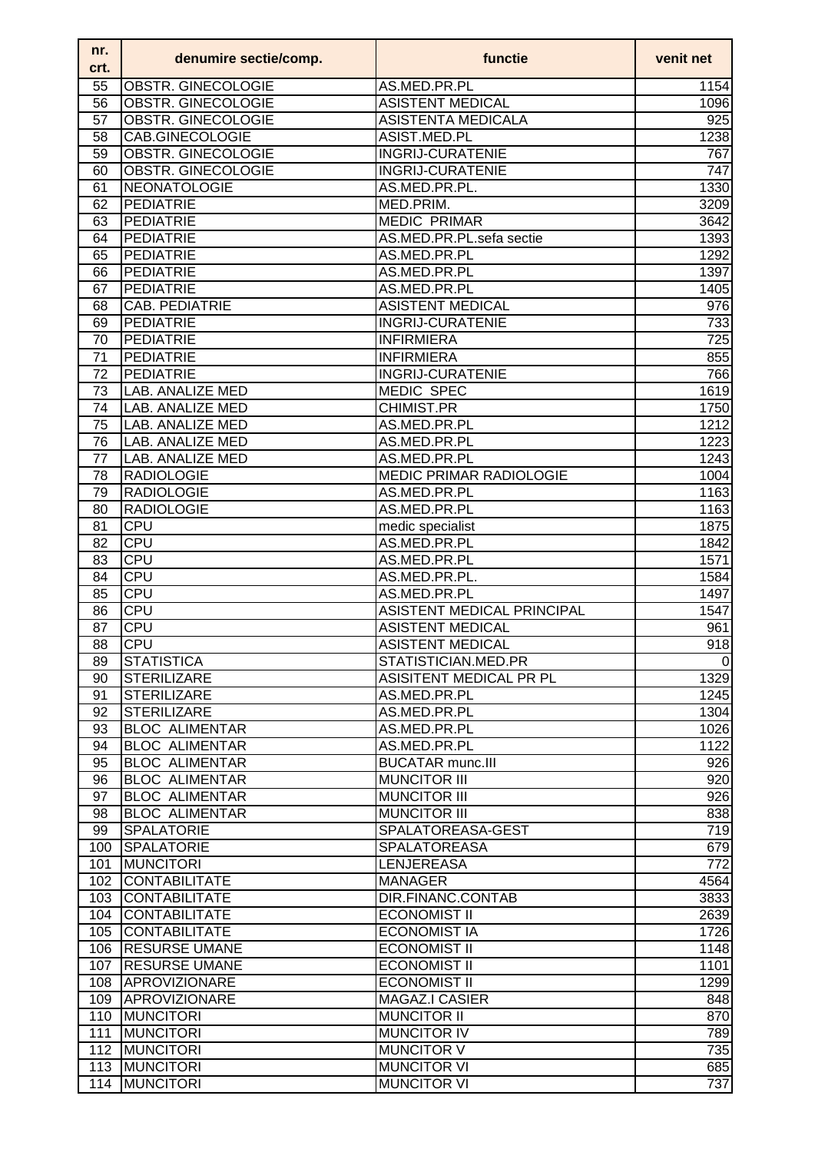| nr.<br>crt.     | denumire sectie/comp.     | functie                        | venit net        |
|-----------------|---------------------------|--------------------------------|------------------|
| 55              | OBSTR. GINECOLOGIE        | AS.MED.PR.PL                   | 1154             |
| 56              | OBSTR. GINECOLOGIE        | <b>ASISTENT MEDICAL</b>        | 1096             |
| 57              | <b>OBSTR. GINECOLOGIE</b> | <b>ASISTENTA MEDICALA</b>      | $\overline{925}$ |
| 58              | CAB.GINECOLOGIE           | ASIST.MED.PL                   | 1238             |
| 59              | OBSTR. GINECOLOGIE        | <b>INGRIJ-CURATENIE</b>        | 767              |
| 60              | OBSTR. GINECOLOGIE        | <b>INGRIJ-CURATENIE</b>        | 747              |
| 61              | NEONATOLOGIE              | AS.MED.PR.PL.                  | 1330             |
| 62              | <b>PEDIATRIE</b>          | MED.PRIM.                      | 3209             |
| 63              | <b>PEDIATRIE</b>          | <b>MEDIC PRIMAR</b>            | 3642             |
| 64              | <b>PEDIATRIE</b>          | AS.MED.PR.PL.sefa sectie       | 1393             |
| 65              | <b>PEDIATRIE</b>          | AS.MED.PR.PL                   | 1292             |
|                 |                           |                                |                  |
| 66              | <b>PEDIATRIE</b>          | AS.MED.PR.PL                   | 1397             |
| 67              | <b>PEDIATRIE</b>          | AS.MED.PR.PL                   | 1405             |
| 68              | CAB. PEDIATRIE            | <b>ASISTENT MEDICAL</b>        | 976              |
| 69              | PEDIATRIE                 | <b>INGRIJ-CURATENIE</b>        | 733              |
| 70              | PEDIATRIE                 | <b>INFIRMIERA</b>              | 725              |
| 71              | <b>PEDIATRIE</b>          | <b>INFIRMIERA</b>              | 855              |
| 72              | PEDIATRIE                 | <b>INGRIJ-CURATENIE</b>        | 766              |
| $\overline{73}$ | LAB. ANALIZE MED          | <b>MEDIC SPEC</b>              | 1619             |
| 74              | <b>LAB. ANALIZE MED</b>   | <b>CHIMIST.PR</b>              | 1750             |
| 75              | <b>LAB. ANALIZE MED</b>   | AS.MED.PR.PL                   | 1212             |
| 76              | LAB. ANALIZE MED          | AS.MED.PR.PL                   | 1223             |
| 77              | LAB. ANALIZE MED          | AS.MED.PR.PL                   | 1243             |
| 78              | <b>RADIOLOGIE</b>         | <b>MEDIC PRIMAR RADIOLOGIE</b> | 1004             |
| 79              | <b>RADIOLOGIE</b>         | AS.MED.PR.PL                   | 1163             |
| 80              | <b>RADIOLOGIE</b>         | AS.MED.PR.PL                   | 1163             |
| 81              | <b>CPU</b>                | medic specialist               | 1875             |
| 82              | <b>CPU</b>                | AS.MED.PR.PL                   | 1842             |
| 83              | <b>CPU</b>                | AS.MED.PR.PL                   | 1571             |
|                 |                           |                                |                  |
| 84              | <b>CPU</b>                | AS.MED.PR.PL.                  | 1584             |
| 85              | <b>CPU</b>                | AS.MED.PR.PL                   | 1497             |
| 86              | <b>CPU</b>                | ASISTENT MEDICAL PRINCIPAL     | 1547             |
| 87              | <b>CPU</b>                | <b>ASISTENT MEDICAL</b>        | 961              |
| 88              | <b>CPU</b>                | <b>ASISTENT MEDICAL</b>        | 918              |
| 89              | <b>STATISTICA</b>         | STATISTICIAN.MED.PR            | 0                |
| 90              | <b>STERILIZARE</b>        | ASISITENT MEDICAL PR PL        | 1329             |
| 91              | <b>STERILIZARE</b>        | AS.MED.PR.PL                   | 1245             |
| 92              | <b>STERILIZARE</b>        | AS.MED.PR.PL                   | 1304             |
| 93              | <b>BLOC ALIMENTAR</b>     | AS.MED.PR.PL                   | 1026             |
| 94              | <b>BLOC ALIMENTAR</b>     | AS.MED.PR.PL                   | 1122             |
| 95              | <b>BLOC ALIMENTAR</b>     | <b>BUCATAR munc.III</b>        | 926              |
| 96              | <b>BLOC ALIMENTAR</b>     | <b>MUNCITOR III</b>            | 920              |
| 97              | <b>BLOC ALIMENTAR</b>     | <b>MUNCITOR III</b>            | 926              |
| 98              | <b>BLOC ALIMENTAR</b>     | <b>MUNCITOR III</b>            | 838              |
| 99              | <b>SPALATORIE</b>         | SPALATOREASA-GEST              | 719              |
| 100             | SPALATORIE                | <b>SPALATOREASA</b>            | 679              |
| 101             | <b>MUNCITORI</b>          | <b>LENJEREASA</b>              | $\overline{772}$ |
| 102             | <b>CONTABILITATE</b>      | <b>MANAGER</b>                 | 4564             |
| 103             | <b>CONTABILITATE</b>      | DIR.FINANC.CONTAB              | 3833             |
|                 |                           |                                |                  |
| 104             | <b>CONTABILITATE</b>      | <b>ECONOMIST II</b>            | 2639             |
| 105             | <b>CONTABILITATE</b>      | <b>ECONOMIST IA</b>            | 1726             |
|                 | 106 RESURSE UMANE         | <b>ECONOMIST II</b>            | 1148             |
| 107             | <b>RESURSE UMANE</b>      | <b>ECONOMIST II</b>            | 1101             |
| 108             | <b>APROVIZIONARE</b>      | <b>ECONOMIST II</b>            | 1299             |
| 109             | APROVIZIONARE             | <b>MAGAZ.I CASIER</b>          | 848              |
| 110             | <b>MUNCITORI</b>          | <b>MUNCITOR II</b>             | 870              |
| 111             | <b>MUNCITORI</b>          | <b>MUNCITOR IV</b>             | 789              |
| 112             | <b>MUNCITORI</b>          | <b>MUNCITOR V</b>              | 735              |
| 113             | <b>MUNCITORI</b>          | <b>MUNCITOR VI</b>             | 685              |
| 114             | <b>MUNCITORI</b>          | <b>MUNCITOR VI</b>             | 737              |